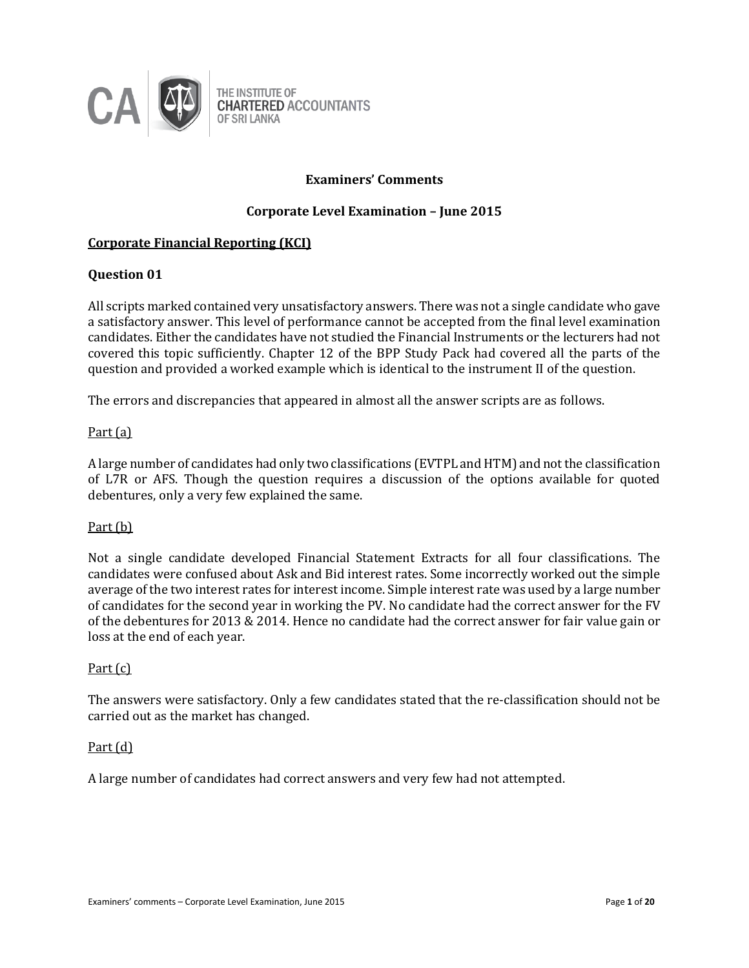

## **Examiners' Comments**

## **Corporate Level Examination – June 2015**

## **Corporate Financial Reporting (KCI)**

#### **Question 01**

All scripts marked contained very unsatisfactory answers. There was not a single candidate who gave a satisfactory answer. This level of performance cannot be accepted from the final level examination candidates. Either the candidates have not studied the Financial Instruments or the lecturers had not covered this topic sufficiently. Chapter 12 of the BPP Study Pack had covered all the parts of the question and provided a worked example which is identical to the instrument II of the question.

The errors and discrepancies that appeared in almost all the answer scripts are as follows.

#### Part (a)

A large number of candidates had only two classifications (EVTPL and HTM) and not the classification of L7R or AFS. Though the question requires a discussion of the options available for quoted debentures, only a very few explained the same.

## Part (b)

Not a single candidate developed Financial Statement Extracts for all four classifications. The candidates were confused about Ask and Bid interest rates. Some incorrectly worked out the simple average of the two interest rates for interest income. Simple interest rate was used by a large number of candidates for the second year in working the PV. No candidate had the correct answer for the FV of the debentures for 2013 & 2014. Hence no candidate had the correct answer for fair value gain or loss at the end of each year.

## Part (c)

The answers were satisfactory. Only a few candidates stated that the re-classification should not be carried out as the market has changed.

#### Part (d)

A large number of candidates had correct answers and very few had not attempted.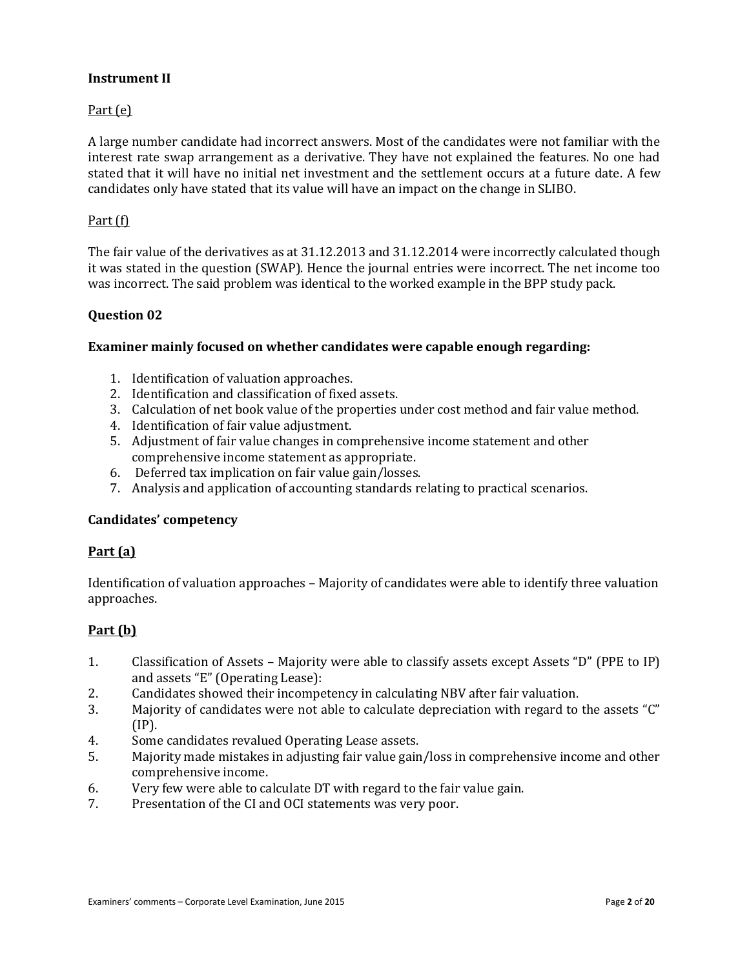## **Instrument II**

## Part (e)

A large number candidate had incorrect answers. Most of the candidates were not familiar with the interest rate swap arrangement as a derivative. They have not explained the features. No one had stated that it will have no initial net investment and the settlement occurs at a future date. A few candidates only have stated that its value will have an impact on the change in SLIBO.

## Part (f)

The fair value of the derivatives as at 31.12.2013 and 31.12.2014 were incorrectly calculated though it was stated in the question (SWAP). Hence the journal entries were incorrect. The net income too was incorrect. The said problem was identical to the worked example in the BPP study pack.

## **Question 02**

## **Examiner mainly focused on whether candidates were capable enough regarding:**

- 1. Identification of valuation approaches.
- 2. Identification and classification of fixed assets.
- 3. Calculation of net book value of the properties under cost method and fair value method.
- 4. Identification of fair value adjustment.
- 5. Adjustment of fair value changes in comprehensive income statement and other comprehensive income statement as appropriate.
- 6. Deferred tax implication on fair value gain/losses.
- 7. Analysis and application of accounting standards relating to practical scenarios.

## **Candidates' competency**

## **Part (a)**

Identification of valuation approaches – Majority of candidates were able to identify three valuation approaches.

## **Part (b)**

- 1. Classification of Assets Majority were able to classify assets except Assets "D" (PPE to IP) and assets "E" (Operating Lease):
- 2. Candidates showed their incompetency in calculating NBV after fair valuation.
- 3. Majority of candidates were not able to calculate depreciation with regard to the assets "C" (IP).
- 4. Some candidates revalued Operating Lease assets.
- 5. Majority made mistakes in adjusting fair value gain/loss in comprehensive income and other comprehensive income.
- 6. Very few were able to calculate DT with regard to the fair value gain.
- 7. Presentation of the CI and OCI statements was very poor.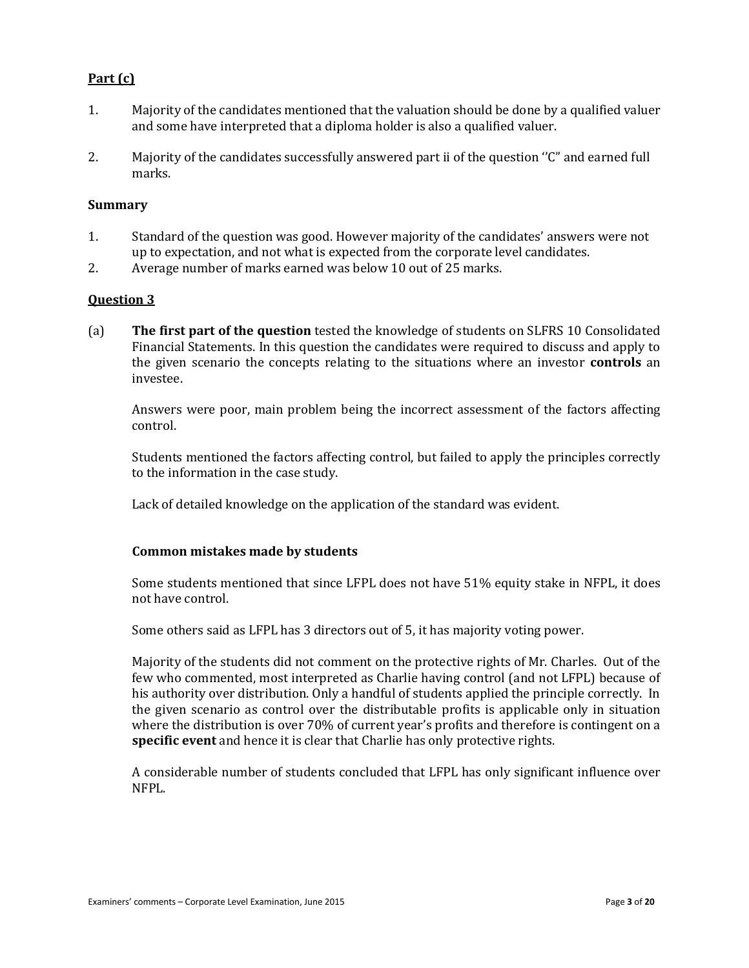## **Part (c)**

- 1. Majority of the candidates mentioned that the valuation should be done by a qualified valuer and some have interpreted that a diploma holder is also a qualified valuer.
- 2. Majority of the candidates successfully answered part ii of the question "C" and earned full marks.

#### **Summary**

- 1. Standard of the question was good. However majority of the candidates' answers were not up to expectation, and not what is expected from the corporate level candidates.
- 2. Average number of marks earned was below 10 out of 25 marks.

#### **Question 3**

(a) **The first part of the question** tested the knowledge of students on SLFRS 10 Consolidated Financial Statements. In this question the candidates were required to discuss and apply to the given scenario the concepts relating to the situations where an investor **controls** an investee.

Answers were poor, main problem being the incorrect assessment of the factors affecting control.

Students mentioned the factors affecting control, but failed to apply the principles correctly to the information in the case study.

Lack of detailed knowledge on the application of the standard was evident.

## **Common mistakes made by students**

Some students mentioned that since LFPL does not have 51% equity stake in NFPL, it does not have control.

Some others said as LFPL has 3 directors out of 5, it has majority voting power.

Majority of the students did not comment on the protective rights of Mr. Charles. Out of the few who commented, most interpreted as Charlie having control (and not LFPL) because of his authority over distribution. Only a handful of students applied the principle correctly. In the given scenario as control over the distributable profits is applicable only in situation where the distribution is over 70% of current year's profits and therefore is contingent on a **specific event** and hence it is clear that Charlie has only protective rights.

A considerable number of students concluded that LFPL has only significant influence over NFPL.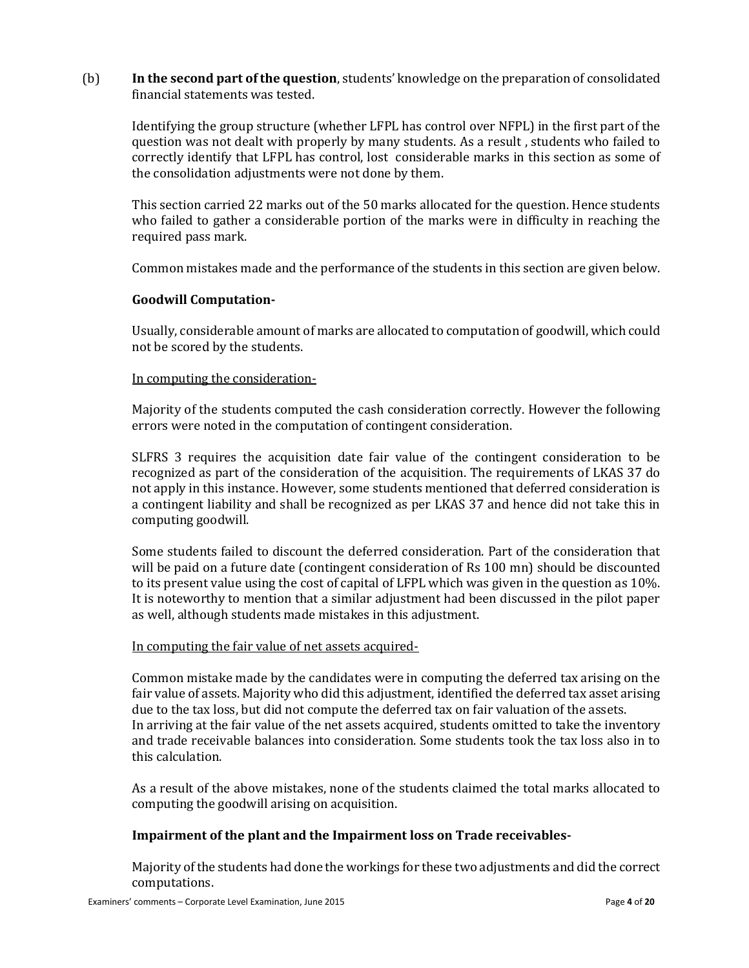(b) **In the second part of the question**, students' knowledge on the preparation of consolidated financial statements was tested.

Identifying the group structure (whether LFPL has control over NFPL) in the first part of the question was not dealt with properly by many students. As a result , students who failed to correctly identify that LFPL has control, lost considerable marks in this section as some of the consolidation adjustments were not done by them.

This section carried 22 marks out of the 50 marks allocated for the question. Hence students who failed to gather a considerable portion of the marks were in difficulty in reaching the required pass mark.

Common mistakes made and the performance of the students in this section are given below.

## **Goodwill Computation-**

Usually, considerable amount of marks are allocated to computation of goodwill, which could not be scored by the students.

#### In computing the consideration-

Majority of the students computed the cash consideration correctly. However the following errors were noted in the computation of contingent consideration.

SLFRS 3 requires the acquisition date fair value of the contingent consideration to be recognized as part of the consideration of the acquisition. The requirements of LKAS 37 do not apply in this instance. However, some students mentioned that deferred consideration is a contingent liability and shall be recognized as per LKAS 37 and hence did not take this in computing goodwill.

Some students failed to discount the deferred consideration. Part of the consideration that will be paid on a future date (contingent consideration of Rs 100 mn) should be discounted to its present value using the cost of capital of LFPL which was given in the question as 10%. It is noteworthy to mention that a similar adjustment had been discussed in the pilot paper as well, although students made mistakes in this adjustment.

#### In computing the fair value of net assets acquired-

Common mistake made by the candidates were in computing the deferred tax arising on the fair value of assets. Majority who did this adjustment, identified the deferred tax asset arising due to the tax loss, but did not compute the deferred tax on fair valuation of the assets. In arriving at the fair value of the net assets acquired, students omitted to take the inventory and trade receivable balances into consideration. Some students took the tax loss also in to this calculation.

As a result of the above mistakes, none of the students claimed the total marks allocated to computing the goodwill arising on acquisition.

## **Impairment of the plant and the Impairment loss on Trade receivables-**

Majority of the students had done the workings for these two adjustments and did the correct computations.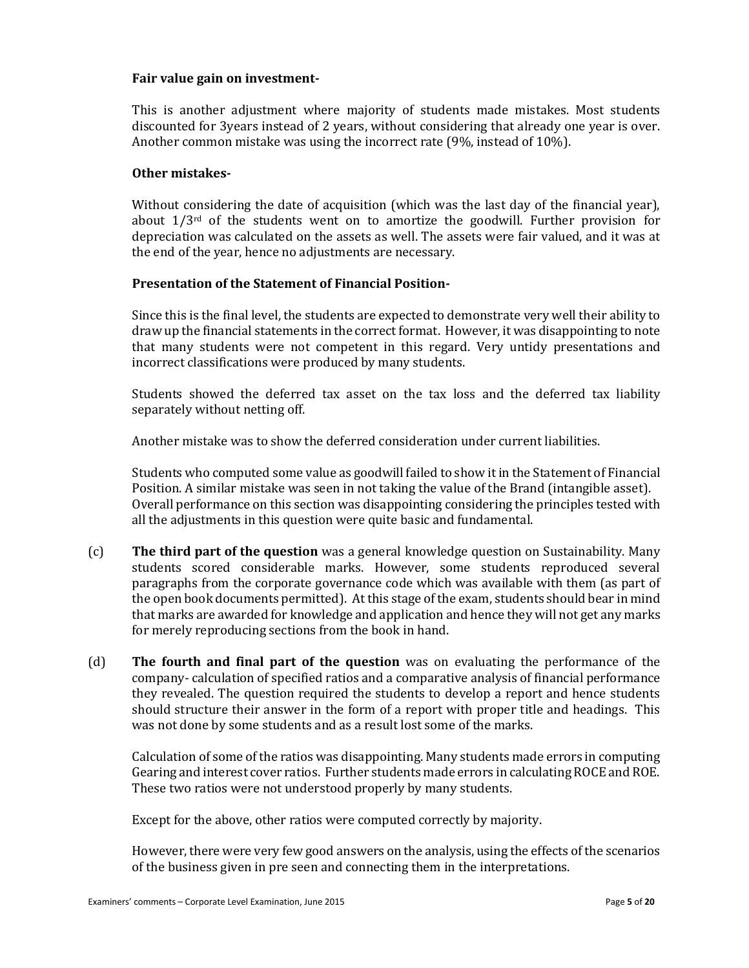#### **Fair value gain on investment-**

This is another adjustment where majority of students made mistakes. Most students discounted for 3years instead of 2 years, without considering that already one year is over. Another common mistake was using the incorrect rate (9%, instead of 10%).

#### **Other mistakes-**

Without considering the date of acquisition (which was the last day of the financial year), about  $1/3<sup>rd</sup>$  of the students went on to amortize the goodwill. Further provision for depreciation was calculated on the assets as well. The assets were fair valued, and it was at the end of the year, hence no adjustments are necessary.

## **Presentation of the Statement of Financial Position-**

Since this is the final level, the students are expected to demonstrate very well their ability to draw up the financial statements in the correct format. However, it was disappointing to note that many students were not competent in this regard. Very untidy presentations and incorrect classifications were produced by many students.

Students showed the deferred tax asset on the tax loss and the deferred tax liability separately without netting off.

Another mistake was to show the deferred consideration under current liabilities.

Students who computed some value as goodwill failed to show it in the Statement of Financial Position. A similar mistake was seen in not taking the value of the Brand (intangible asset). Overall performance on this section was disappointing considering the principles tested with all the adjustments in this question were quite basic and fundamental.

- (c) **The third part of the question** was a general knowledge question on Sustainability. Many students scored considerable marks. However, some students reproduced several paragraphs from the corporate governance code which was available with them (as part of the open book documents permitted). At this stage of the exam, students should bear in mind that marks are awarded for knowledge and application and hence they will not get any marks for merely reproducing sections from the book in hand.
- (d) **The fourth and final part of the question** was on evaluating the performance of the company- calculation of specified ratios and a comparative analysis of financial performance they revealed. The question required the students to develop a report and hence students should structure their answer in the form of a report with proper title and headings. This was not done by some students and as a result lost some of the marks.

Calculation of some of the ratios was disappointing. Many students made errors in computing Gearing and interest cover ratios. Further students made errors in calculating ROCE and ROE. These two ratios were not understood properly by many students.

Except for the above, other ratios were computed correctly by majority.

However, there were very few good answers on the analysis, using the effects of the scenarios of the business given in pre seen and connecting them in the interpretations.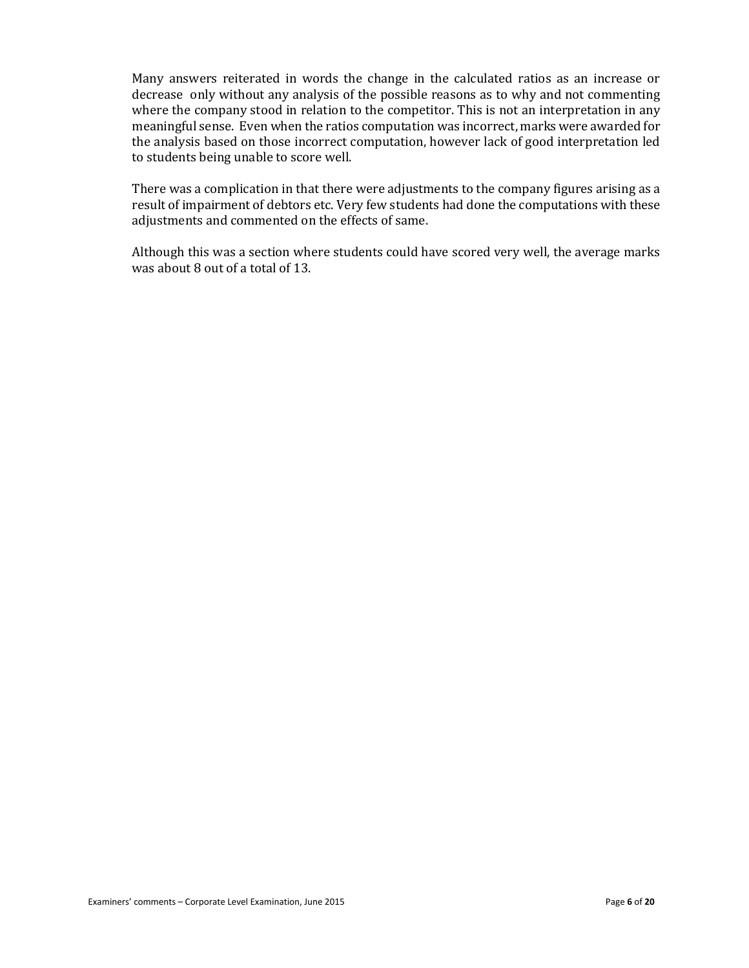Many answers reiterated in words the change in the calculated ratios as an increase or decrease only without any analysis of the possible reasons as to why and not commenting where the company stood in relation to the competitor. This is not an interpretation in any meaningful sense. Even when the ratios computation was incorrect, marks were awarded for the analysis based on those incorrect computation, however lack of good interpretation led to students being unable to score well.

There was a complication in that there were adjustments to the company figures arising as a result of impairment of debtors etc. Very few students had done the computations with these adjustments and commented on the effects of same.

Although this was a section where students could have scored very well, the average marks was about 8 out of a total of 13.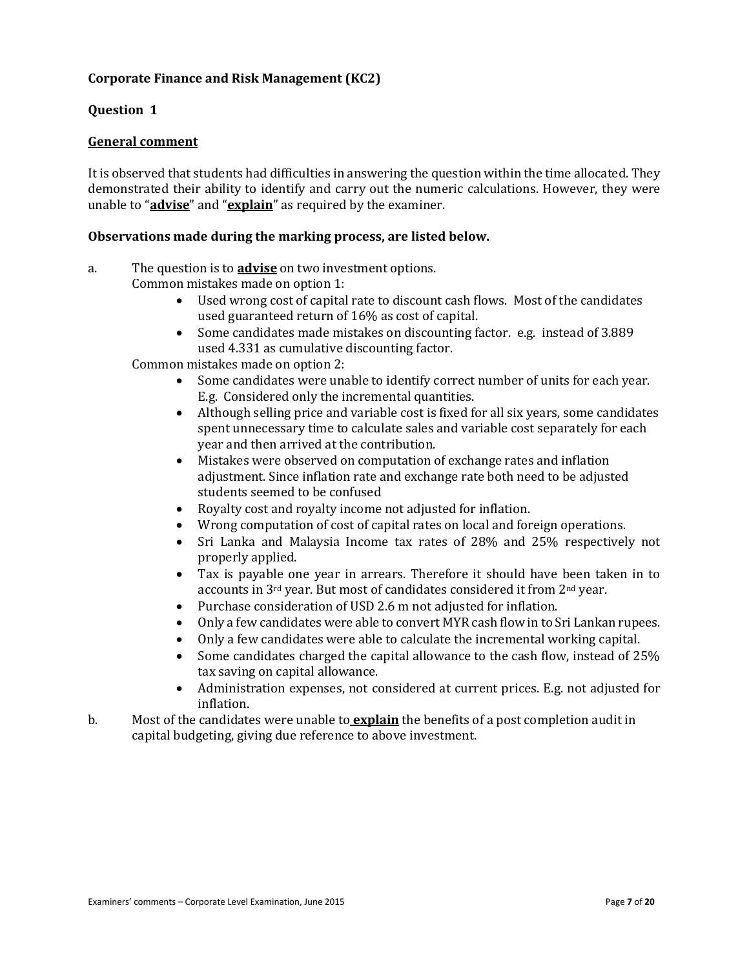## **Corporate Finance and Risk Management (KC2)**

## **Question 1**

## **General comment**

It is observed that students had difficulties in answering the question within the time allocated. They demonstrated their ability to identify and carry out the numeric calculations. However, they were unable to "**advise**" and "**explain**" as required by the examiner.

#### **Observations made during the marking process, are listed below.**

# a. The question is to **advise** on two investment options.

Common mistakes made on option 1:

- Used wrong cost of capital rate to discount cash flows. Most of the candidates used guaranteed return of 16% as cost of capital.
- Some candidates made mistakes on discounting factor. e.g. instead of 3.889 used 4.331 as cumulative discounting factor.

Common mistakes made on option 2:

- Some candidates were unable to identify correct number of units for each year. E.g. Considered only the incremental quantities.
- Although selling price and variable cost is fixed for all six years, some candidates spent unnecessary time to calculate sales and variable cost separately for each year and then arrived at the contribution.
- Mistakes were observed on computation of exchange rates and inflation adjustment. Since inflation rate and exchange rate both need to be adjusted students seemed to be confused
- Royalty cost and royalty income not adjusted for inflation.
- Wrong computation of cost of capital rates on local and foreign operations.
- Sri Lanka and Malaysia Income tax rates of 28% and 25% respectively not properly applied.
- Tax is payable one year in arrears. Therefore it should have been taken in to accounts in 3rd year. But most of candidates considered it from 2nd year.
- Purchase consideration of USD 2.6 m not adjusted for inflation.
- Only a few candidates were able to convert MYR cash flow in to Sri Lankan rupees.
- Only a few candidates were able to calculate the incremental working capital.
- Some candidates charged the capital allowance to the cash flow, instead of 25% tax saving on capital allowance.
- Administration expenses, not considered at current prices. E.g. not adjusted for inflation.
- b. Most of the candidates were unable to **explain** the benefits of a post completion audit in capital budgeting, giving due reference to above investment.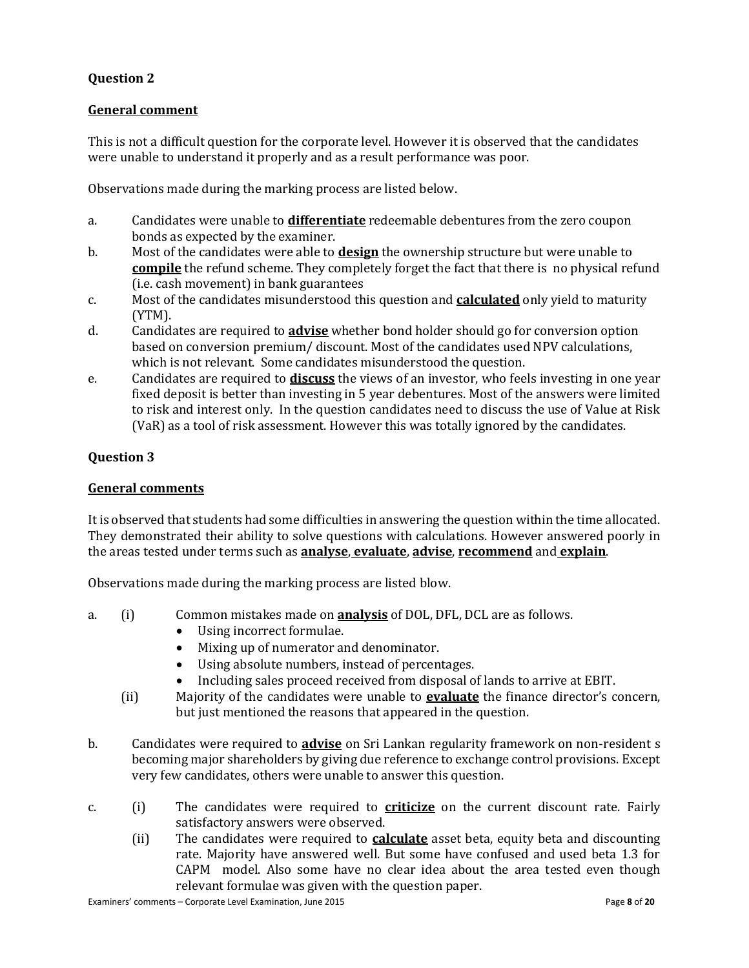## **Question 2**

## **General comment**

This is not a difficult question for the corporate level. However it is observed that the candidates were unable to understand it properly and as a result performance was poor.

Observations made during the marking process are listed below.

- a. Candidates were unable to **differentiate** redeemable debentures from the zero coupon bonds as expected by the examiner.
- b. Most of the candidates were able to **design** the ownership structure but were unable to **compile** the refund scheme. They completely forget the fact that there is no physical refund (i.e. cash movement) in bank guarantees
- c. Most of the candidates misunderstood this question and **calculated** only yield to maturity (YTM).
- d. Candidates are required to **advise** whether bond holder should go for conversion option based on conversion premium/ discount. Most of the candidates used NPV calculations, which is not relevant. Some candidates misunderstood the question.
- e. Candidates are required to **discuss** the views of an investor, who feels investing in one year fixed deposit is better than investing in 5 year debentures. Most of the answers were limited to risk and interest only. In the question candidates need to discuss the use of Value at Risk (VaR) as a tool of risk assessment. However this was totally ignored by the candidates.

## **Question 3**

## **General comments**

It is observed that students had some difficulties in answering the question within the time allocated. They demonstrated their ability to solve questions with calculations. However answered poorly in the areas tested under terms such as **analyse**, **evaluate**, **advise**, **recommend** and **explain**.

Observations made during the marking process are listed blow.

- a. (i) Common mistakes made on **analysis** of DOL, DFL, DCL are as follows.
	- Using incorrect formulae.
	- Mixing up of numerator and denominator.
	- Using absolute numbers, instead of percentages.
	- Including sales proceed received from disposal of lands to arrive at EBIT.
	- (ii) Majority of the candidates were unable to **evaluate** the finance director's concern, but just mentioned the reasons that appeared in the question.
- b. Candidates were required to **advise** on Sri Lankan regularity framework on non-resident s becoming major shareholders by giving due reference to exchange control provisions. Except very few candidates, others were unable to answer this question.
- c. (i) The candidates were required to **criticize** on the current discount rate. Fairly satisfactory answers were observed.
	- (ii) The candidates were required to **calculate** asset beta, equity beta and discounting rate. Majority have answered well. But some have confused and used beta 1.3 for CAPM model. Also some have no clear idea about the area tested even though relevant formulae was given with the question paper.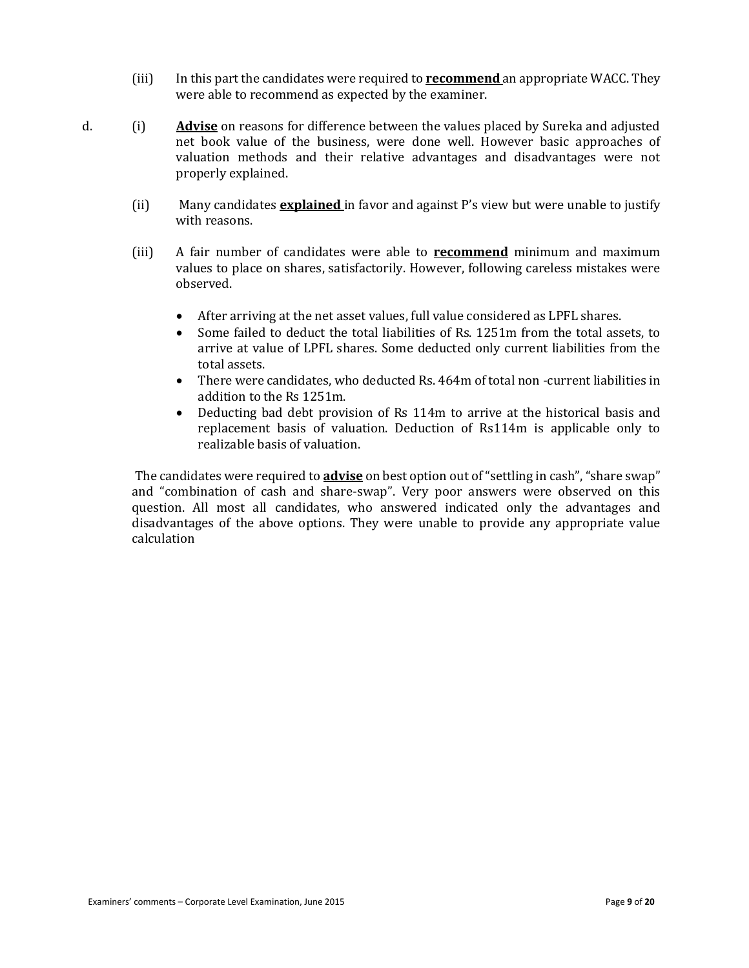- (iii) In this part the candidates were required to **recommend** an appropriate WACC. They were able to recommend as expected by the examiner.
- d. (i) **Advise** on reasons for difference between the values placed by Sureka and adjusted net book value of the business, were done well. However basic approaches of valuation methods and their relative advantages and disadvantages were not properly explained.
	- (ii) Many candidates **explained** in favor and against P's view but were unable to justify with reasons.
	- (iii) A fair number of candidates were able to **recommend** minimum and maximum values to place on shares, satisfactorily. However, following careless mistakes were observed.
		- After arriving at the net asset values, full value considered as LPFL shares.
		- Some failed to deduct the total liabilities of Rs. 1251m from the total assets, to arrive at value of LPFL shares. Some deducted only current liabilities from the total assets.
		- There were candidates, who deducted Rs. 464m of total non -current liabilities in addition to the Rs 1251m.
		- Deducting bad debt provision of Rs 114m to arrive at the historical basis and replacement basis of valuation. Deduction of Rs114m is applicable only to realizable basis of valuation.

The candidates were required to **advise** on best option out of "settling in cash", "share swap" and "combination of cash and share-swap". Very poor answers were observed on this question. All most all candidates, who answered indicated only the advantages and disadvantages of the above options. They were unable to provide any appropriate value calculation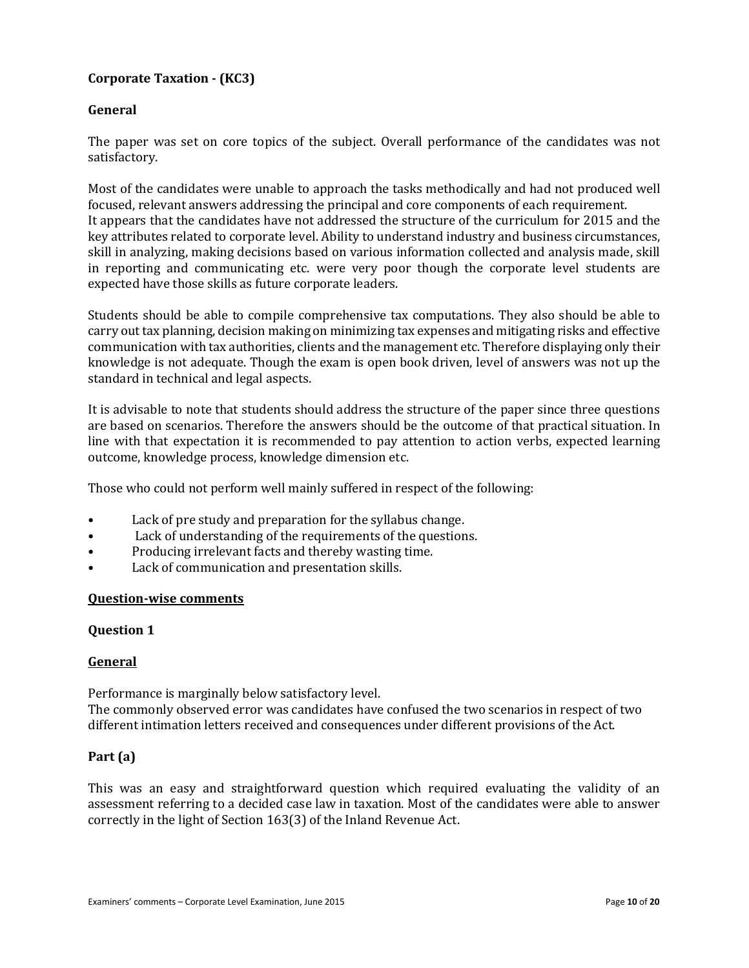## **Corporate Taxation - (KC3)**

## **General**

The paper was set on core topics of the subject. Overall performance of the candidates was not satisfactory.

Most of the candidates were unable to approach the tasks methodically and had not produced well focused, relevant answers addressing the principal and core components of each requirement. It appears that the candidates have not addressed the structure of the curriculum for 2015 and the key attributes related to corporate level. Ability to understand industry and business circumstances, skill in analyzing, making decisions based on various information collected and analysis made, skill in reporting and communicating etc. were very poor though the corporate level students are expected have those skills as future corporate leaders.

Students should be able to compile comprehensive tax computations. They also should be able to carry out tax planning, decision making on minimizing tax expenses and mitigating risks and effective communication with tax authorities, clients and the management etc. Therefore displaying only their knowledge is not adequate. Though the exam is open book driven, level of answers was not up the standard in technical and legal aspects.

It is advisable to note that students should address the structure of the paper since three questions are based on scenarios. Therefore the answers should be the outcome of that practical situation. In line with that expectation it is recommended to pay attention to action verbs, expected learning outcome, knowledge process, knowledge dimension etc.

Those who could not perform well mainly suffered in respect of the following:

- Lack of pre study and preparation for the syllabus change.
- Lack of understanding of the requirements of the questions.
- Producing irrelevant facts and thereby wasting time.
- Lack of communication and presentation skills.

#### **Question-wise comments**

#### **Question 1**

#### **General**

Performance is marginally below satisfactory level. The commonly observed error was candidates have confused the two scenarios in respect of two different intimation letters received and consequences under different provisions of the Act.

## **Part (a)**

This was an easy and straightforward question which required evaluating the validity of an assessment referring to a decided case law in taxation. Most of the candidates were able to answer correctly in the light of Section 163(3) of the Inland Revenue Act.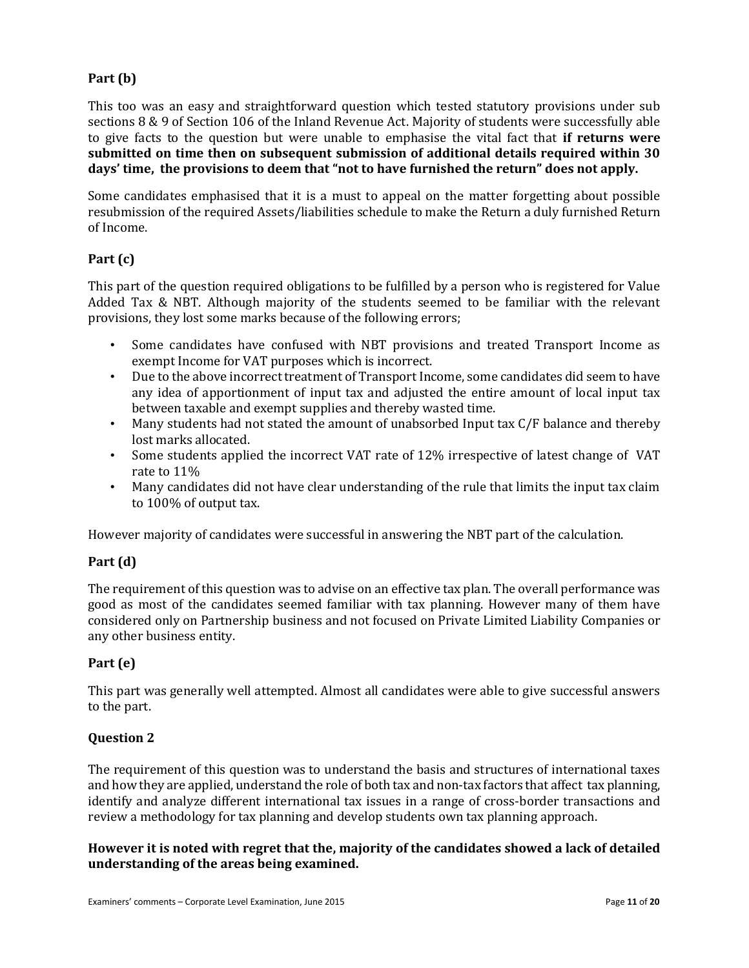## **Part (b)**

This too was an easy and straightforward question which tested statutory provisions under sub sections 8 & 9 of Section 106 of the Inland Revenue Act. Majority of students were successfully able to give facts to the question but were unable to emphasise the vital fact that **if returns were submitted on time then on subsequent submission of additional details required within 30 days' time, the provisions to deem that "not to have furnished the return" does not apply.**

Some candidates emphasised that it is a must to appeal on the matter forgetting about possible resubmission of the required Assets/liabilities schedule to make the Return a duly furnished Return of Income.

## **Part (c)**

This part of the question required obligations to be fulfilled by a person who is registered for Value Added Tax & NBT. Although majority of the students seemed to be familiar with the relevant provisions, they lost some marks because of the following errors;

- Some candidates have confused with NBT provisions and treated Transport Income as exempt Income for VAT purposes which is incorrect.
- Due to the above incorrect treatment of Transport Income, some candidates did seem to have any idea of apportionment of input tax and adjusted the entire amount of local input tax between taxable and exempt supplies and thereby wasted time.
- Many students had not stated the amount of unabsorbed Input tax C/F balance and thereby lost marks allocated.
- Some students applied the incorrect VAT rate of 12% irrespective of latest change of VAT rate to 11%
- Many candidates did not have clear understanding of the rule that limits the input tax claim to 100% of output tax.

However majority of candidates were successful in answering the NBT part of the calculation.

## **Part (d)**

The requirement of this question was to advise on an effective tax plan. The overall performance was good as most of the candidates seemed familiar with tax planning. However many of them have considered only on Partnership business and not focused on Private Limited Liability Companies or any other business entity.

## **Part (e)**

This part was generally well attempted. Almost all candidates were able to give successful answers to the part.

## **Question 2**

The requirement of this question was to understand the basis and structures of international taxes and how they are applied, understand the role of both tax and non-tax factors that affect tax planning, identify and analyze different international tax issues in a range of cross-border transactions and review a methodology for tax planning and develop students own tax planning approach.

## **However it is noted with regret that the, majority of the candidates showed a lack of detailed understanding of the areas being examined.**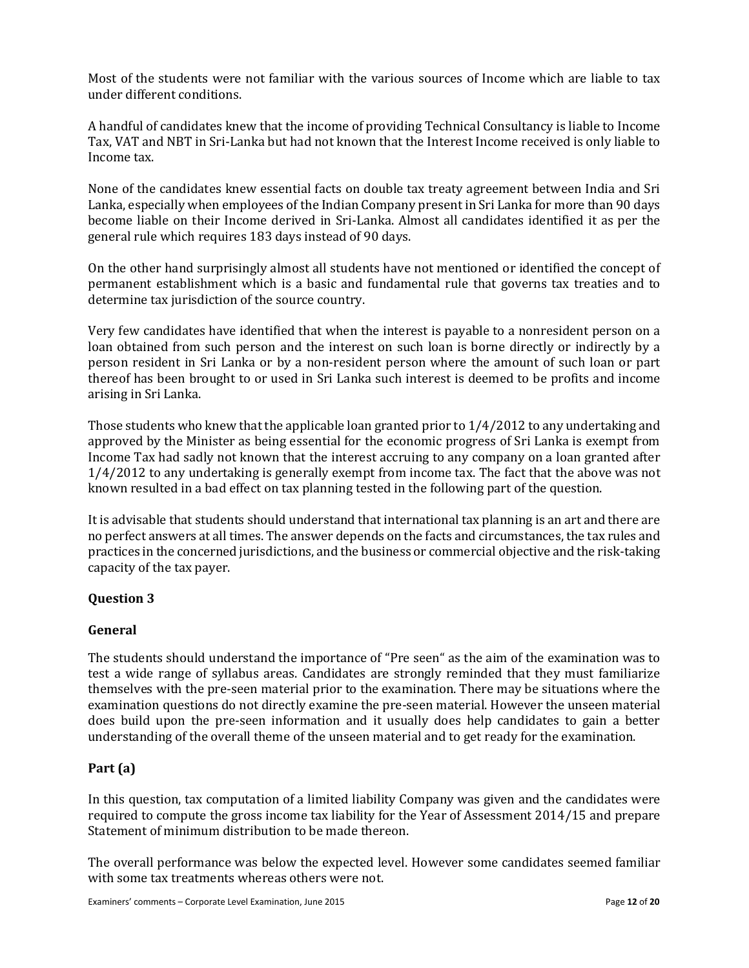Most of the students were not familiar with the various sources of Income which are liable to tax under different conditions.

A handful of candidates knew that the income of providing Technical Consultancy is liable to Income Tax, VAT and NBT in Sri-Lanka but had not known that the Interest Income received is only liable to Income tax.

None of the candidates knew essential facts on double tax treaty agreement between India and Sri Lanka, especially when employees of the Indian Company present in Sri Lanka for more than 90 days become liable on their Income derived in Sri-Lanka. Almost all candidates identified it as per the general rule which requires 183 days instead of 90 days.

On the other hand surprisingly almost all students have not mentioned or identified the concept of permanent establishment which is a basic and fundamental rule that governs tax treaties and to determine tax jurisdiction of the source country.

Very few candidates have identified that when the interest is payable to a nonresident person on a loan obtained from such person and the interest on such loan is borne directly or indirectly by a person resident in Sri Lanka or by a non-resident person where the amount of such loan or part thereof has been brought to or used in Sri Lanka such interest is deemed to be profits and income arising in Sri Lanka.

Those students who knew that the applicable loan granted prior to 1/4/2012 to any undertaking and approved by the Minister as being essential for the economic progress of Sri Lanka is exempt from Income Tax had sadly not known that the interest accruing to any company on a loan granted after 1/4/2012 to any undertaking is generally exempt from income tax. The fact that the above was not known resulted in a bad effect on tax planning tested in the following part of the question.

It is advisable that students should understand that international tax planning is an art and there are no perfect answers at all times. The answer depends on the facts and circumstances, the tax rules and practices in the concerned jurisdictions, and the business or commercial objective and the risk-taking capacity of the tax payer.

## **Question 3**

## **General**

The students should understand the importance of "Pre seen" as the aim of the examination was to test a wide range of syllabus areas. Candidates are strongly reminded that they must familiarize themselves with the pre-seen material prior to the examination. There may be situations where the examination questions do not directly examine the pre-seen material. However the unseen material does build upon the pre-seen information and it usually does help candidates to gain a better understanding of the overall theme of the unseen material and to get ready for the examination.

## **Part (a)**

In this question, tax computation of a limited liability Company was given and the candidates were required to compute the gross income tax liability for the Year of Assessment 2014/15 and prepare Statement of minimum distribution to be made thereon.

The overall performance was below the expected level. However some candidates seemed familiar with some tax treatments whereas others were not.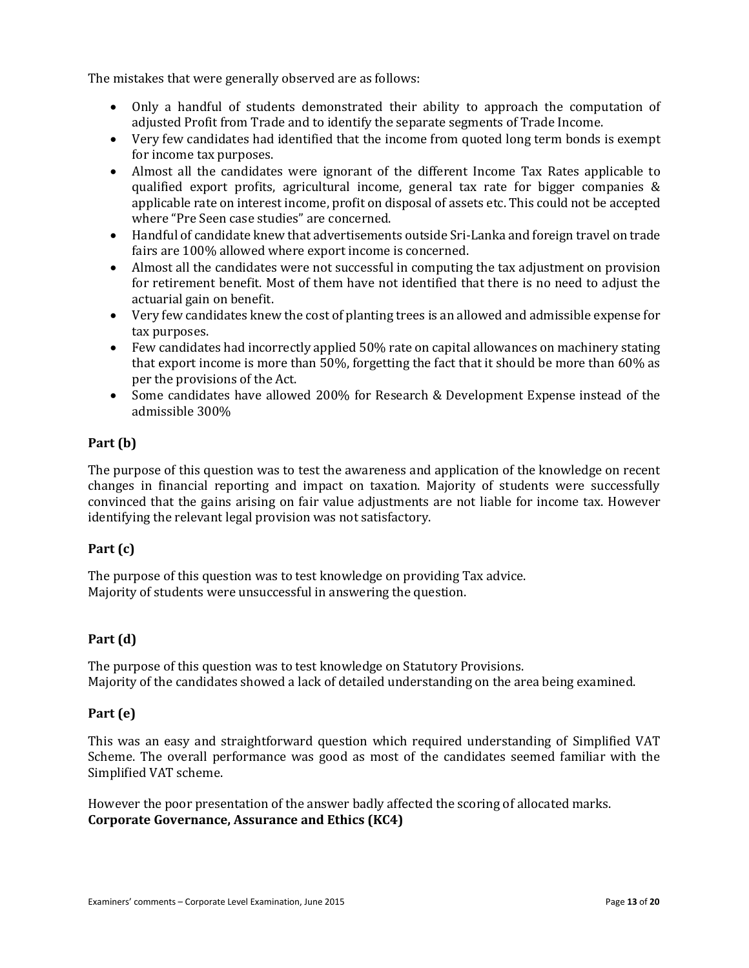The mistakes that were generally observed are as follows:

- Only a handful of students demonstrated their ability to approach the computation of adjusted Profit from Trade and to identify the separate segments of Trade Income.
- Very few candidates had identified that the income from quoted long term bonds is exempt for income tax purposes.
- Almost all the candidates were ignorant of the different Income Tax Rates applicable to qualified export profits, agricultural income, general tax rate for bigger companies & applicable rate on interest income, profit on disposal of assets etc. This could not be accepted where "Pre Seen case studies" are concerned.
- Handful of candidate knew that advertisements outside Sri-Lanka and foreign travel on trade fairs are 100% allowed where export income is concerned.
- Almost all the candidates were not successful in computing the tax adjustment on provision for retirement benefit. Most of them have not identified that there is no need to adjust the actuarial gain on benefit.
- Very few candidates knew the cost of planting trees is an allowed and admissible expense for tax purposes.
- Few candidates had incorrectly applied 50% rate on capital allowances on machinery stating that export income is more than 50%, forgetting the fact that it should be more than 60% as per the provisions of the Act.
- Some candidates have allowed 200% for Research & Development Expense instead of the admissible 300%

## **Part (b)**

The purpose of this question was to test the awareness and application of the knowledge on recent changes in financial reporting and impact on taxation. Majority of students were successfully convinced that the gains arising on fair value adjustments are not liable for income tax. However identifying the relevant legal provision was not satisfactory.

## **Part (c)**

The purpose of this question was to test knowledge on providing Tax advice. Majority of students were unsuccessful in answering the question.

## **Part (d)**

The purpose of this question was to test knowledge on Statutory Provisions. Majority of the candidates showed a lack of detailed understanding on the area being examined.

## **Part (e)**

This was an easy and straightforward question which required understanding of Simplified VAT Scheme. The overall performance was good as most of the candidates seemed familiar with the Simplified VAT scheme.

However the poor presentation of the answer badly affected the scoring of allocated marks. **Corporate Governance, Assurance and Ethics (KC4)**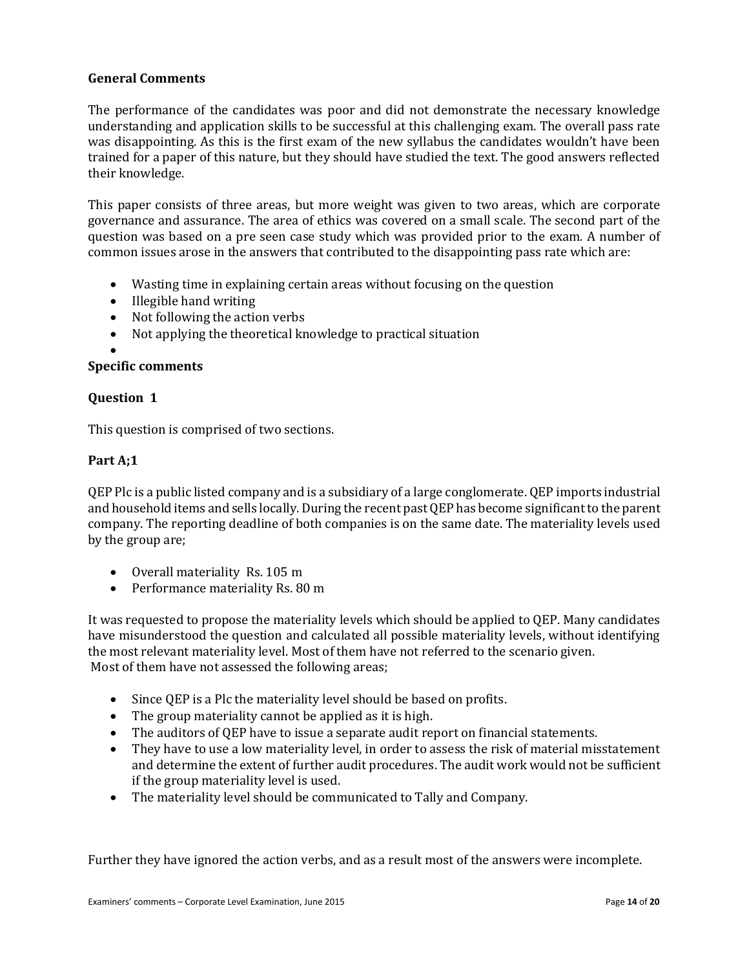## **General Comments**

The performance of the candidates was poor and did not demonstrate the necessary knowledge understanding and application skills to be successful at this challenging exam. The overall pass rate was disappointing. As this is the first exam of the new syllabus the candidates wouldn't have been trained for a paper of this nature, but they should have studied the text. The good answers reflected their knowledge.

This paper consists of three areas, but more weight was given to two areas, which are corporate governance and assurance. The area of ethics was covered on a small scale. The second part of the question was based on a pre seen case study which was provided prior to the exam. A number of common issues arose in the answers that contributed to the disappointing pass rate which are:

- Wasting time in explaining certain areas without focusing on the question
- Illegible hand writing
- Not following the action verbs
- Not applying the theoretical knowledge to practical situation
- $\bullet$

## **Specific comments**

#### **Question 1**

This question is comprised of two sections.

#### **Part A;1**

QEP Plc is a public listed company and is a subsidiary of a large conglomerate. QEP imports industrial and household items and sells locally. During the recent past QEP has become significant to the parent company. The reporting deadline of both companies is on the same date. The materiality levels used by the group are;

- Overall materiality Rs. 105 m
- Performance materiality Rs. 80 m

It was requested to propose the materiality levels which should be applied to QEP. Many candidates have misunderstood the question and calculated all possible materiality levels, without identifying the most relevant materiality level. Most of them have not referred to the scenario given. Most of them have not assessed the following areas;

- Since QEP is a Plc the materiality level should be based on profits.
- The group materiality cannot be applied as it is high.
- The auditors of QEP have to issue a separate audit report on financial statements.
- They have to use a low materiality level, in order to assess the risk of material misstatement and determine the extent of further audit procedures. The audit work would not be sufficient if the group materiality level is used.
- The materiality level should be communicated to Tally and Company.

Further they have ignored the action verbs, and as a result most of the answers were incomplete.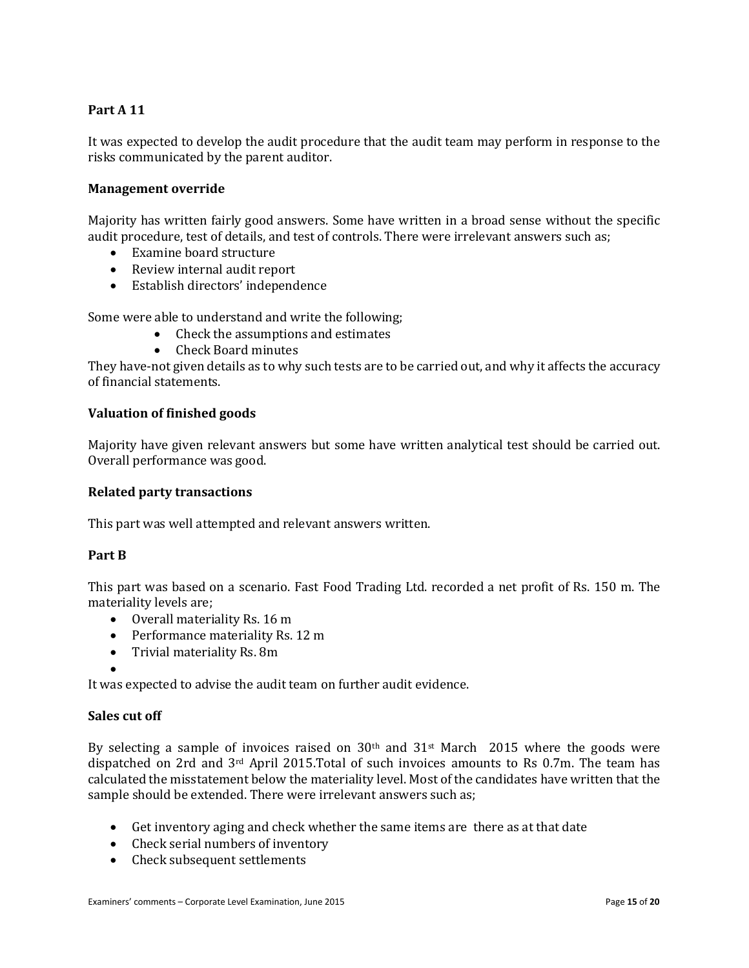# **Part A 11**

It was expected to develop the audit procedure that the audit team may perform in response to the risks communicated by the parent auditor.

## **Management override**

Majority has written fairly good answers. Some have written in a broad sense without the specific audit procedure, test of details, and test of controls. There were irrelevant answers such as;

- Examine board structure
- Review internal audit report
- Establish directors' independence

Some were able to understand and write the following;

- Check the assumptions and estimates
- Check Board minutes

They have-not given details as to why such tests are to be carried out, and why it affects the accuracy of financial statements.

#### **Valuation of finished goods**

Majority have given relevant answers but some have written analytical test should be carried out. Overall performance was good.

#### **Related party transactions**

This part was well attempted and relevant answers written.

#### **Part B**

This part was based on a scenario. Fast Food Trading Ltd. recorded a net profit of Rs. 150 m. The materiality levels are;

- Overall materiality Rs. 16 m
- Performance materiality Rs. 12 m
- Trivial materiality Rs. 8m

 $\bullet$ 

It was expected to advise the audit team on further audit evidence.

#### **Sales cut off**

By selecting a sample of invoices raised on  $30<sup>th</sup>$  and  $31<sup>st</sup>$  March 2015 where the goods were dispatched on 2rd and  $3<sup>rd</sup>$  April 2015. Total of such invoices amounts to Rs 0.7m. The team has calculated the misstatement below the materiality level. Most of the candidates have written that the sample should be extended. There were irrelevant answers such as;

- Get inventory aging and check whether the same items are there as at that date
- Check serial numbers of inventory
- Check subsequent settlements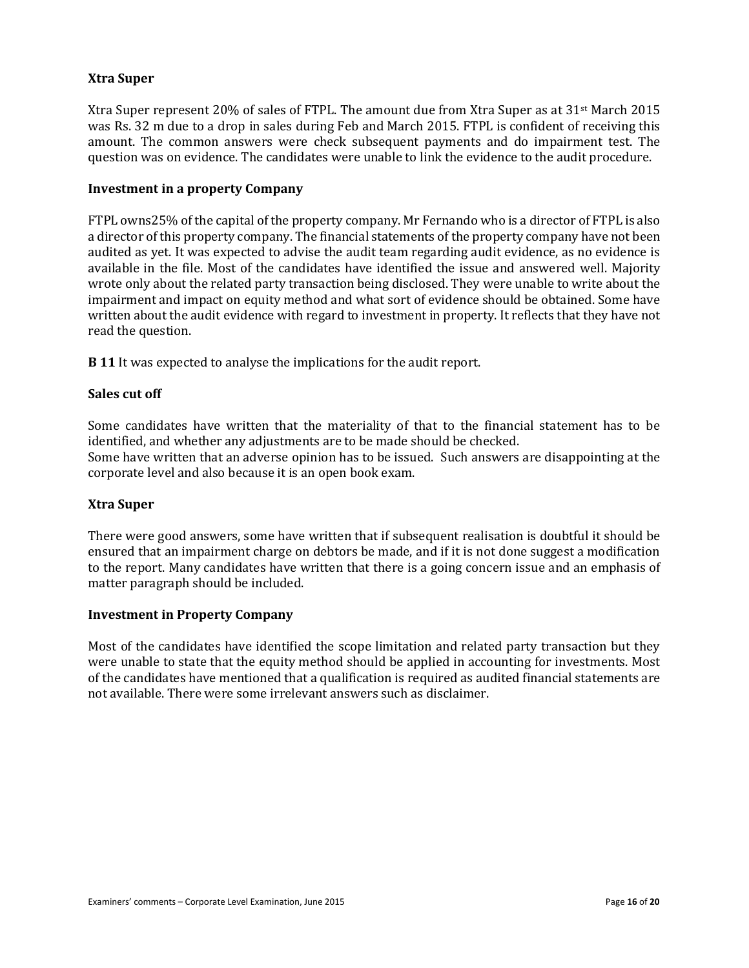## **Xtra Super**

Xtra Super represent 20% of sales of FTPL. The amount due from Xtra Super as at 31st March 2015 was Rs. 32 m due to a drop in sales during Feb and March 2015. FTPL is confident of receiving this amount. The common answers were check subsequent payments and do impairment test. The question was on evidence. The candidates were unable to link the evidence to the audit procedure.

## **Investment in a property Company**

FTPL owns25% of the capital of the property company. Mr Fernando who is a director of FTPL is also a director of this property company. The financial statements of the property company have not been audited as yet. It was expected to advise the audit team regarding audit evidence, as no evidence is available in the file. Most of the candidates have identified the issue and answered well. Majority wrote only about the related party transaction being disclosed. They were unable to write about the impairment and impact on equity method and what sort of evidence should be obtained. Some have written about the audit evidence with regard to investment in property. It reflects that they have not read the question.

**B 11** It was expected to analyse the implications for the audit report.

## **Sales cut off**

Some candidates have written that the materiality of that to the financial statement has to be identified, and whether any adjustments are to be made should be checked. Some have written that an adverse opinion has to be issued. Such answers are disappointing at the corporate level and also because it is an open book exam.

#### **Xtra Super**

There were good answers, some have written that if subsequent realisation is doubtful it should be ensured that an impairment charge on debtors be made, and if it is not done suggest a modification to the report. Many candidates have written that there is a going concern issue and an emphasis of matter paragraph should be included.

#### **Investment in Property Company**

Most of the candidates have identified the scope limitation and related party transaction but they were unable to state that the equity method should be applied in accounting for investments. Most of the candidates have mentioned that a qualification is required as audited financial statements are not available. There were some irrelevant answers such as disclaimer.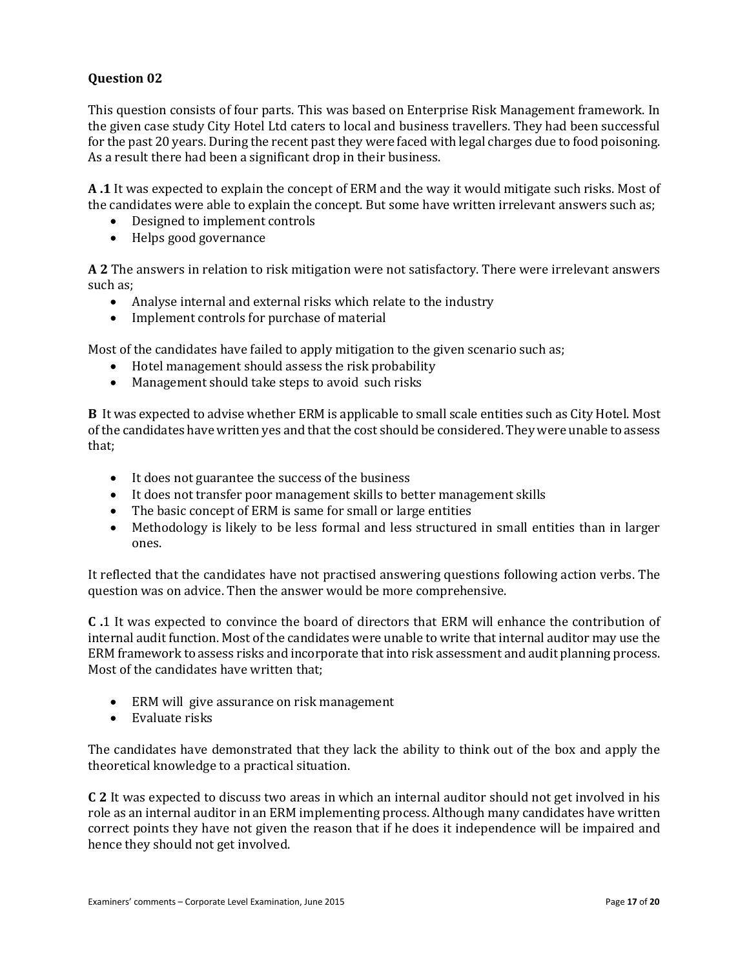## **Question 02**

This question consists of four parts. This was based on Enterprise Risk Management framework. In the given case study City Hotel Ltd caters to local and business travellers. They had been successful for the past 20 years. During the recent past they were faced with legal charges due to food poisoning. As a result there had been a significant drop in their business.

**A .1** It was expected to explain the concept of ERM and the way it would mitigate such risks. Most of the candidates were able to explain the concept. But some have written irrelevant answers such as;

- Designed to implement controls
- Helps good governance

**A 2** The answers in relation to risk mitigation were not satisfactory. There were irrelevant answers such as;

- Analyse internal and external risks which relate to the industry
- Implement controls for purchase of material

Most of the candidates have failed to apply mitigation to the given scenario such as;

- Hotel management should assess the risk probability
- Management should take steps to avoid such risks

**B** It was expected to advise whether ERM is applicable to small scale entities such as City Hotel. Most of the candidates have written yes and that the cost should be considered. They were unable to assess that;

- It does not guarantee the success of the business
- It does not transfer poor management skills to better management skills
- The basic concept of ERM is same for small or large entities
- Methodology is likely to be less formal and less structured in small entities than in larger ones.

It reflected that the candidates have not practised answering questions following action verbs. The question was on advice. Then the answer would be more comprehensive.

**C .**1 It was expected to convince the board of directors that ERM will enhance the contribution of internal audit function. Most of the candidates were unable to write that internal auditor may use the ERM framework to assess risks and incorporate that into risk assessment and audit planning process. Most of the candidates have written that;

- ERM will give assurance on risk management
- Evaluate risks

The candidates have demonstrated that they lack the ability to think out of the box and apply the theoretical knowledge to a practical situation.

**C 2** It was expected to discuss two areas in which an internal auditor should not get involved in his role as an internal auditor in an ERM implementing process. Although many candidates have written correct points they have not given the reason that if he does it independence will be impaired and hence they should not get involved.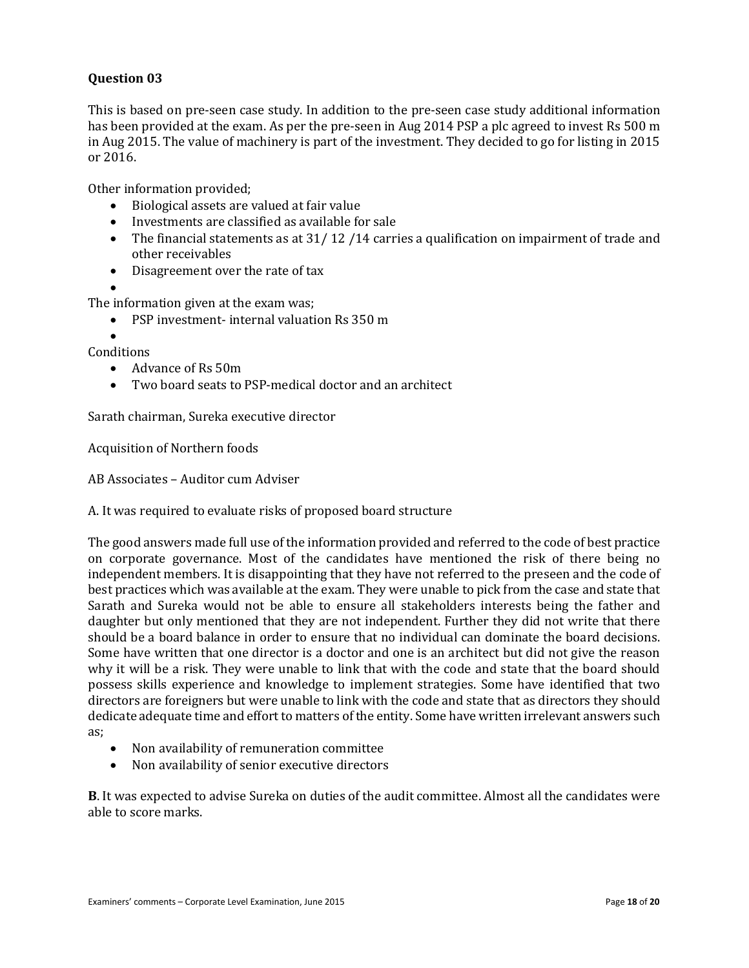## **Question 03**

This is based on pre-seen case study. In addition to the pre-seen case study additional information has been provided at the exam. As per the pre-seen in Aug 2014 PSP a plc agreed to invest Rs 500 m in Aug 2015. The value of machinery is part of the investment. They decided to go for listing in 2015 or 2016.

Other information provided;

- Biological assets are valued at fair value
- Investments are classified as available for sale
- The financial statements as at 31/12/14 carries a qualification on impairment of trade and other receivables
- Disagreement over the rate of tax
- $\bullet$

The information given at the exam was;

PSP investment- internal valuation Rs 350 m

 $\bullet$ **Conditions** 

- Advance of Rs 50m
- Two board seats to PSP-medical doctor and an architect

Sarath chairman, Sureka executive director

Acquisition of Northern foods

AB Associates – Auditor cum Adviser

A. It was required to evaluate risks of proposed board structure

The good answers made full use of the information provided and referred to the code of best practice on corporate governance. Most of the candidates have mentioned the risk of there being no independent members. It is disappointing that they have not referred to the preseen and the code of best practices which was available at the exam. They were unable to pick from the case and state that Sarath and Sureka would not be able to ensure all stakeholders interests being the father and daughter but only mentioned that they are not independent. Further they did not write that there should be a board balance in order to ensure that no individual can dominate the board decisions. Some have written that one director is a doctor and one is an architect but did not give the reason why it will be a risk. They were unable to link that with the code and state that the board should possess skills experience and knowledge to implement strategies. Some have identified that two directors are foreigners but were unable to link with the code and state that as directors they should dedicate adequate time and effort to matters of the entity. Some have written irrelevant answers such as;

- Non availability of remuneration committee
- Non availability of senior executive directors

**B**. It was expected to advise Sureka on duties of the audit committee. Almost all the candidates were able to score marks.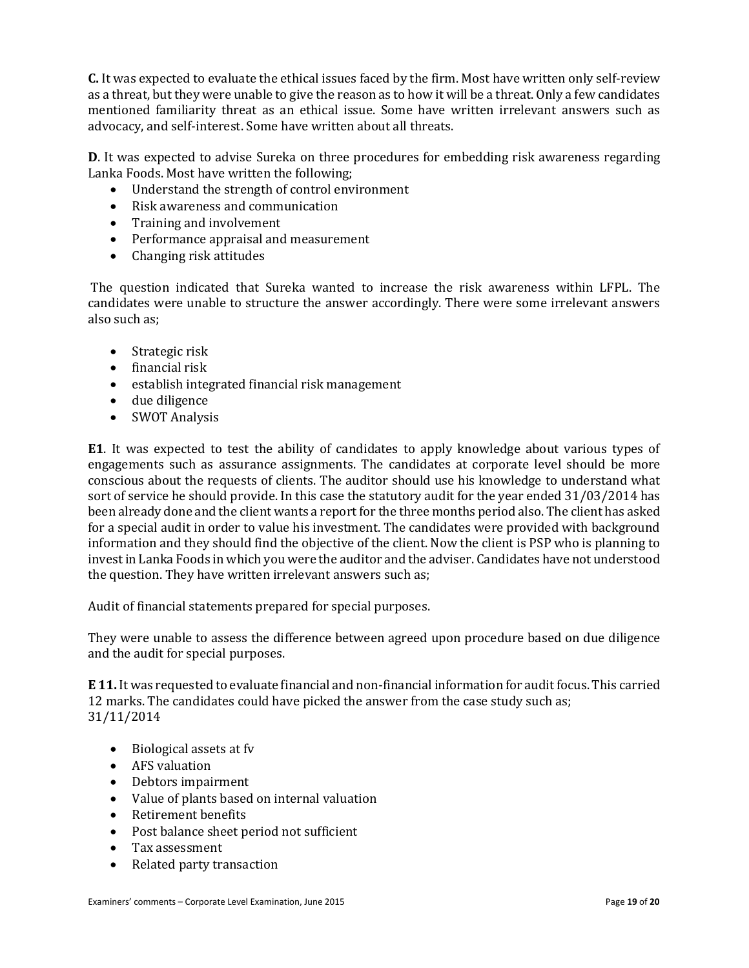**C.** It was expected to evaluate the ethical issues faced by the firm. Most have written only self-review as a threat, but they were unable to give the reason as to how it will be a threat. Only a few candidates mentioned familiarity threat as an ethical issue. Some have written irrelevant answers such as advocacy, and self-interest. Some have written about all threats.

**D**. It was expected to advise Sureka on three procedures for embedding risk awareness regarding Lanka Foods. Most have written the following;

- Understand the strength of control environment
- Risk awareness and communication
- Training and involvement
- Performance appraisal and measurement
- Changing risk attitudes

The question indicated that Sureka wanted to increase the risk awareness within LFPL. The candidates were unable to structure the answer accordingly. There were some irrelevant answers also such as;

- Strategic risk
- financial risk
- establish integrated financial risk management
- due diligence
- SWOT Analysis

**E1**. It was expected to test the ability of candidates to apply knowledge about various types of engagements such as assurance assignments. The candidates at corporate level should be more conscious about the requests of clients. The auditor should use his knowledge to understand what sort of service he should provide. In this case the statutory audit for the year ended 31/03/2014 has been already done and the client wants a report for the three months period also. The client has asked for a special audit in order to value his investment. The candidates were provided with background information and they should find the objective of the client. Now the client is PSP who is planning to invest in Lanka Foods in which you were the auditor and the adviser. Candidates have not understood the question. They have written irrelevant answers such as;

Audit of financial statements prepared for special purposes.

They were unable to assess the difference between agreed upon procedure based on due diligence and the audit for special purposes.

**E 11.** It was requested to evaluate financial and non-financial information for audit focus. This carried 12 marks. The candidates could have picked the answer from the case study such as; 31/11/2014

- Biological assets at fy
- AFS valuation
- Debtors impairment
- Value of plants based on internal valuation
- Retirement benefits
- Post balance sheet period not sufficient
- Tax assessment
- Related party transaction